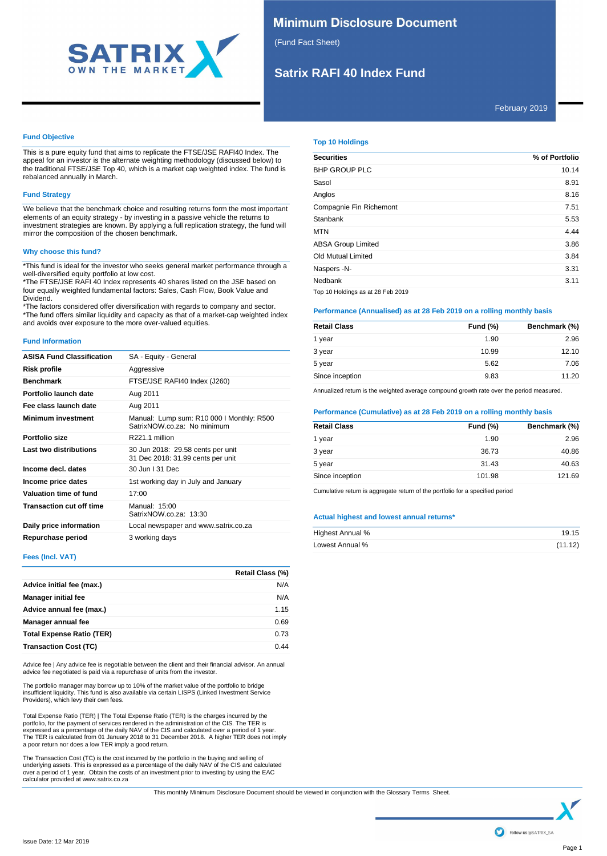

# **Minimum Disclosure Document**

(Fund Fact Sheet)

# **Satrix RAFI 40 Index Fund**

February 2019

### **Fund Objective**

This is a pure equity fund that aims to replicate the FTSE/JSE RAFI40 Index. The appeal for an investor is the alternate weighting methodology (discussed below) to the traditional FTSE/JSE Top 40, which is a market cap weighted index. The fund is rebalanced annually in March.

# **Fund Strategy**

We believe that the benchmark choice and resulting returns form the most important elements of an equity strategy - by investing in a passive vehicle the returns to investment strategies are known. By applying a full replication strategy, the fund will mirror the composition of the chosen benchmark.

## **Why choose this fund?**

\*This fund is ideal for the investor who seeks general market performance through a well-diversified equity portfolio at low cost.

\*The FTSE/JSE RAFI 40 Index represents 40 shares listed on the JSE based on four equally weighted fundamental factors: Sales, Cash Flow, Book Value and Dividend.

\*The factors considered offer diversification with regards to company and sector. \*The fund offers similar liquidity and capacity as that of a market-cap weighted index and avoids over exposure to the more over-valued equities.

### **Fund Information**

| <b>ASISA Fund Classification</b> | SA - Equity - General                                                    |
|----------------------------------|--------------------------------------------------------------------------|
| Risk profile                     | Aggressive                                                               |
| <b>Benchmark</b>                 | FTSE/JSE RAFI40 Index (J260)                                             |
| Portfolio launch date            | Aug 2011                                                                 |
| Fee class launch date            | Aug 2011                                                                 |
| <b>Minimum investment</b>        | Manual: Lump sum: R10 000 I Monthly: R500<br>SatrixNOW.co.za: No minimum |
| Portfolio size                   | R <sub>221</sub> 1 million                                               |
| Last two distributions           | 30 Jun 2018: 29.58 cents per unit<br>31 Dec 2018: 31.99 cents per unit   |
| Income decl. dates               | 30 Jun   31 Dec                                                          |
| Income price dates               | 1st working day in July and January                                      |
| Valuation time of fund           | 17:00                                                                    |
| <b>Transaction cut off time</b>  | Manual: 15:00<br>SatrixNOW.co.za: 13:30                                  |
| Daily price information          | Local newspaper and www.satrix.co.za                                     |
| Repurchase period                | 3 working days                                                           |

## **Fees (Incl. VAT)**

|                                  | Retail Class (%) |
|----------------------------------|------------------|
| Advice initial fee (max.)        | N/A              |
| <b>Manager initial fee</b>       | N/A              |
| Advice annual fee (max.)         | 1.15             |
| Manager annual fee               | 0.69             |
| <b>Total Expense Ratio (TER)</b> | 0.73             |
| <b>Transaction Cost (TC)</b>     | 0.44             |

Advice fee | Any advice fee is negotiable between the client and their financial advisor. An annual advice fee negotiated is paid via a repurchase of units from the investor.

The portfolio manager may borrow up to 10% of the market value of the portfolio to bridge<br>insufficient liquidity. This fund is also available via certain LISPS (Linked Investment Service<br>Providers), which levy their own fe

Total Expense Ratio (TER) | The Total Expense Ratio (TER) is the charges incurred by the portfolio, for the payment of services rendered in the administration of the CIS. The TER is expressed as a percentage of the daily NAV of the CIS and calculated over a period of 1 year. The TER is calculated from 01 January 2018 to 31 December 2018. A higher TER does not imply a poor return nor does a low TER imply a good return.

The Transaction Cost (TC) is the cost incurred by the portfolio in the buying and selling of<br>underlying assets. This is expressed as a percentage of the daily NAV of the CIS and calculated<br>over a period of 1 year. Obtain t

### **Top 10 Holdings**

| <b>Securities</b>                 | % of Portfolio |
|-----------------------------------|----------------|
| <b>BHP GROUP PLC</b>              | 10.14          |
| Sasol                             | 8.91           |
| Anglos                            | 8.16           |
| Compagnie Fin Richemont           | 7.51           |
| Stanbank                          | 5.53           |
| <b>MTN</b>                        | 4.44           |
| <b>ABSA Group Limited</b>         | 3.86           |
| Old Mutual Limited                | 3.84           |
| Naspers -N-                       | 3.31           |
| Nedbank                           | 3.11           |
| Top 10 Holdings as at 28 Feb 2019 |                |

### **Performance (Annualised) as at 28 Feb 2019 on a rolling monthly basis**

| <b>Retail Class</b> | <b>Fund (%)</b> | Benchmark (%) |
|---------------------|-----------------|---------------|
| 1 year              | 1.90            | 2.96          |
| 3 year              | 10.99           | 12.10         |
| 5 year              | 5.62            | 7.06          |
| Since inception     | 9.83            | 11.20         |

Annualized return is the weighted average compound growth rate over the period measured.

### **Performance (Cumulative) as at 28 Feb 2019 on a rolling monthly basis**

| <b>Retail Class</b> | <b>Fund (%)</b> | Benchmark (%) |
|---------------------|-----------------|---------------|
| 1 year              | 1.90            | 2.96          |
| 3 year              | 36.73           | 40.86         |
| 5 year              | 31.43           | 40.63         |
| Since inception     | 101.98          | 121.69        |

Cumulative return is aggregate return of the portfolio for a specified period

### **Actual highest and lowest annual returns\***

| Highest Annual % | 19.15   |
|------------------|---------|
| Lowest Annual %  | (11.12) |

This monthly Minimum Disclosure Document should be viewed in conjunction with the Glossary Terms Sheet.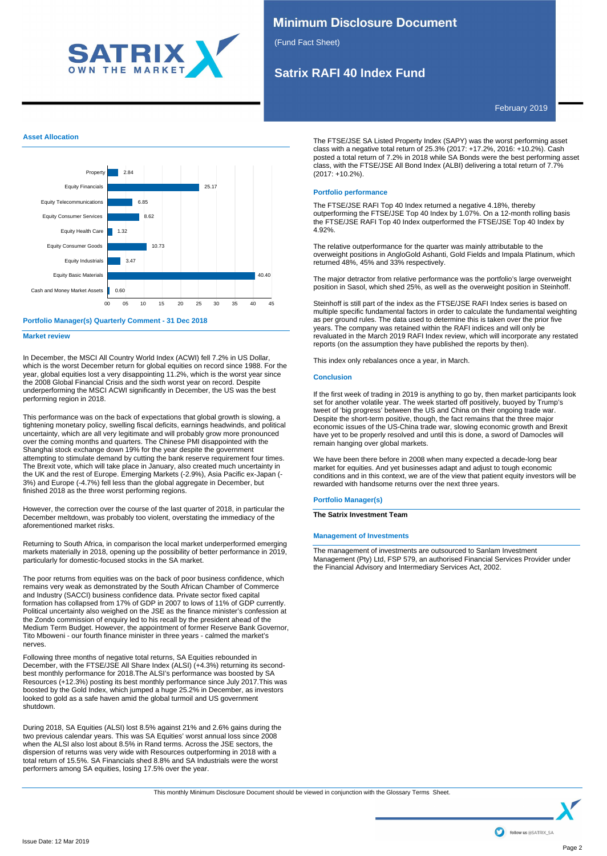

# **Minimum Disclosure Document**

(Fund Fact Sheet)

# **Satrix RAFI 40 Index Fund**

February 2019

### **Asset Allocation**



### **Portfolio Manager(s) Quarterly Comment - 31 Dec 2018**

**Market review**

In December, the MSCI All Country World Index (ACWI) fell 7.2% in US Dollar, which is the worst December return for global equities on record since 1988. For the year, global equities lost a very disappointing 11.2%, which is the worst year since the 2008 Global Financial Crisis and the sixth worst year on record. Despite underperforming the MSCI ACWI significantly in December, the US was the best performing region in 2018.

This performance was on the back of expectations that global growth is slowing, a tightening monetary policy, swelling fiscal deficits, earnings headwinds, and political uncertainty, which are all very legitimate and will probably grow more pronounced over the coming months and quarters. The Chinese PMI disappointed with the Shanghai stock exchange down 19% for the year despite the government attempting to stimulate demand by cutting the bank reserve requirement four times. The Brexit vote, which will take place in January, also created much uncertainty in the UK and the rest of Europe. Emerging Markets (-2.9%), Asia Pacific ex-Japan (- 3%) and Europe (-4.7%) fell less than the global aggregate in December, but finished 2018 as the three worst performing regions.

However, the correction over the course of the last quarter of 2018, in particular the December meltdown, was probably too violent, overstating the immediacy of the aforementioned market risks.

Returning to South Africa, in comparison the local market underperformed emerging markets materially in 2018, opening up the possibility of better performance in 2019, particularly for domestic-focused stocks in the SA market.

The poor returns from equities was on the back of poor business confidence, which remains very weak as demonstrated by the South African Chamber of Commerce and Industry (SACCI) business confidence data. Private sector fixed capital formation has collapsed from 17% of GDP in 2007 to lows of 11% of GDP currently. Political uncertainty also weighed on the JSE as the finance minister's confession at the Zondo commission of enquiry led to his recall by the president ahead of the Medium Term Budget. However, the appointment of former Reserve Bank Governor, Tito Mboweni - our fourth finance minister in three years - calmed the market's nerves.

Following three months of negative total returns, SA Equities rebounded in December, with the FTSE/JSE All Share Index (ALSI) (+4.3%) returning its secondbest monthly performance for 2018.The ALSI's performance was boosted by SA Resources (+12.3%) posting its best monthly performance since July 2017.This was boosted by the Gold Index, which jumped a huge 25.2% in December, as investors looked to gold as a safe haven amid the global turmoil and US government shutdown.

During 2018, SA Equities (ALSI) lost 8.5% against 21% and 2.6% gains during the two previous calendar years. This was SA Equities' worst annual loss since 2008 when the ALSI also lost about 8.5% in Rand terms. Across the JSE sectors, the dispersion of returns was very wide with Resources outperforming in 2018 with a total return of 15.5%. SA Financials shed 8.8% and SA Industrials were the worst performers among SA equities, losing 17.5% over the year.

The FTSE/JSE SA Listed Property Index (SAPY) was the worst performing asset class with a negative total return of 25.3% (2017: +17.2%, 2016: +10.2%). Cash posted a total return of 7.2% in 2018 while SA Bonds were the best performing asset class, with the FTSE/JSE All Bond Index (ALBI) delivering a total return of 7.7% (2017: +10.2%).

### **Portfolio performance**

The FTSE/JSE RAFI Top 40 Index returned a negative 4.18%, thereby outperforming the FTSE/JSE Top 40 Index by 1.07%. On a 12-month rolling basis the FTSE/JSE RAFI Top 40 Index outperformed the FTSE/JSE Top 40 Index by 4.92%.

The relative outperformance for the quarter was mainly attributable to the overweight positions in AngloGold Ashanti, Gold Fields and Impala Platinum, which returned 48%, 45% and 33% respectively.

The major detractor from relative performance was the portfolio's large overweight position in Sasol, which shed 25%, as well as the overweight position in Steinhoff.

Steinhoff is still part of the index as the FTSE/JSE RAFI Index series is based on multiple specific fundamental factors in order to calculate the fundamental weighting as per ground rules. The data used to determine this is taken over the prior five years. The company was retained within the RAFI indices and will only be revaluated in the March 2019 RAFI Index review, which will incorporate any restated reports (on the assumption they have published the reports by then).

This index only rebalances once a year, in March.

### **Conclusion**

If the first week of trading in 2019 is anything to go by, then market participants look set for another volatile year. The week started off positively, buoyed by Trump's tweet of 'big progress' between the US and China on their ongoing trade war. Despite the short-term positive, though, the fact remains that the three major economic issues of the US-China trade war, slowing economic growth and Brexit have yet to be properly resolved and until this is done, a sword of Damocles will remain hanging over global markets.

We have been there before in 2008 when many expected a decade-long bear market for equities. And yet businesses adapt and adjust to tough economic conditions and in this context, we are of the view that patient equity investors will be rewarded with handsome returns over the next three years.

### **Portfolio Manager(s)**

**The Satrix Investment Team**

### **Management of Investments**

The management of investments are outsourced to Sanlam Investment Management (Pty) Ltd, FSP 579, an authorised Financial Services Provider under the Financial Advisory and Intermediary Services Act, 2002.

This monthly Minimum Disclosure Document should be viewed in conjunction with the Glossary Terms Sheet.